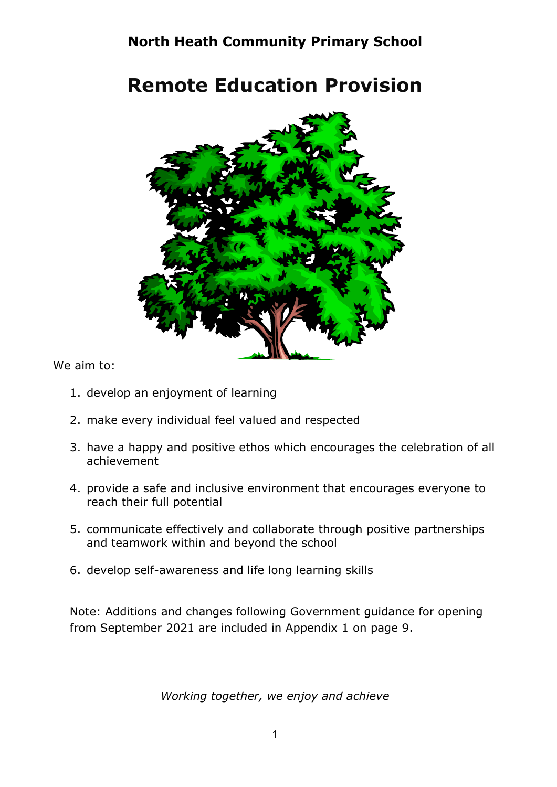# North Heath Community Primary School

# Remote Education Provision



We aim to:

- 1. develop an enjoyment of learning
- 2. make every individual feel valued and respected
- 3. have a happy and positive ethos which encourages the celebration of all achievement
- 4. provide a safe and inclusive environment that encourages everyone to reach their full potential
- 5. communicate effectively and collaborate through positive partnerships and teamwork within and beyond the school
- 6. develop self-awareness and life long learning skills

Note: Additions and changes following Government guidance for opening from September 2021 are included in Appendix 1 on page 9.

Working together, we enjoy and achieve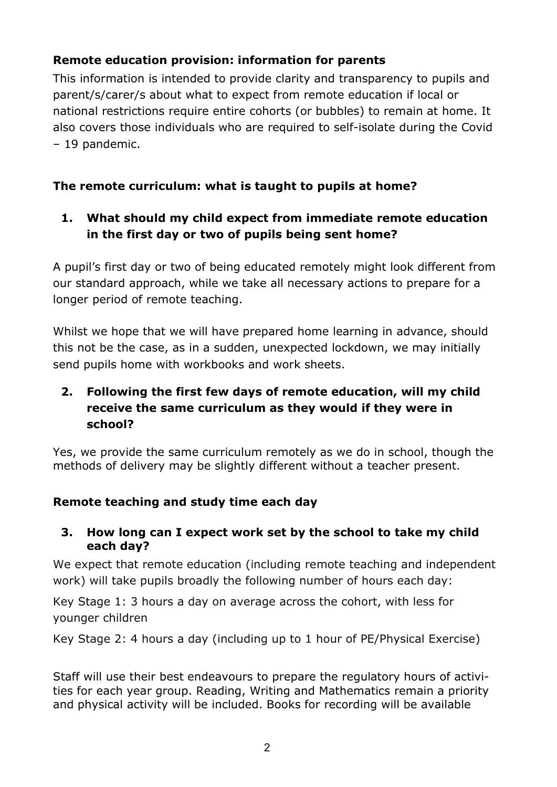# Remote education provision: information for parents

This information is intended to provide clarity and transparency to pupils and parent/s/carer/s about what to expect from remote education if local or national restrictions require entire cohorts (or bubbles) to remain at home. It also covers those individuals who are required to self-isolate during the Covid – 19 pandemic.

# The remote curriculum: what is taught to pupils at home?

## 1. What should my child expect from immediate remote education in the first day or two of pupils being sent home?

A pupil's first day or two of being educated remotely might look different from our standard approach, while we take all necessary actions to prepare for a longer period of remote teaching.

Whilst we hope that we will have prepared home learning in advance, should this not be the case, as in a sudden, unexpected lockdown, we may initially send pupils home with workbooks and work sheets.

# 2. Following the first few days of remote education, will my child receive the same curriculum as they would if they were in school?

Yes, we provide the same curriculum remotely as we do in school, though the methods of delivery may be slightly different without a teacher present.

## Remote teaching and study time each day

#### 3. How long can I expect work set by the school to take my child each day?

We expect that remote education (including remote teaching and independent work) will take pupils broadly the following number of hours each day:

Key Stage 1: 3 hours a day on average across the cohort, with less for younger children

Key Stage 2: 4 hours a day (including up to 1 hour of PE/Physical Exercise)

Staff will use their best endeavours to prepare the regulatory hours of activities for each year group. Reading, Writing and Mathematics remain a priority and physical activity will be included. Books for recording will be available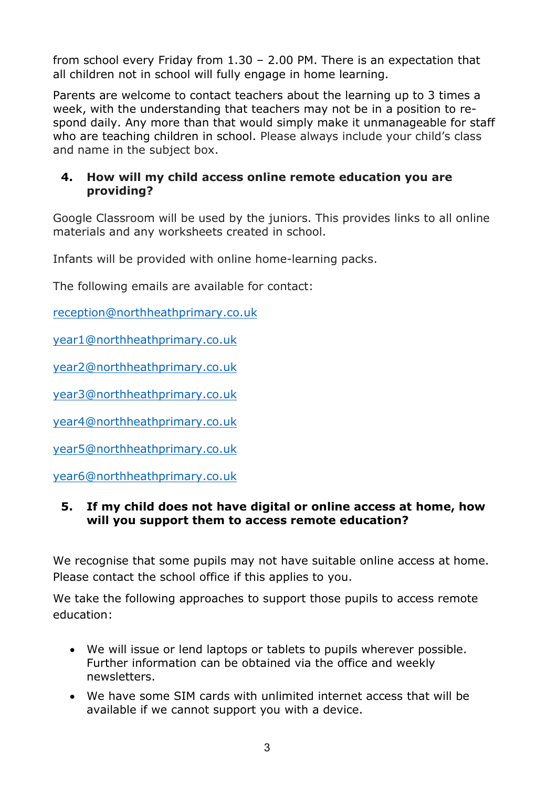from school every Friday from 1.30 – 2.00 PM. There is an expectation that all children not in school will fully engage in home learning.

Parents are welcome to contact teachers about the learning up to 3 times a week, with the understanding that teachers may not be in a position to respond daily. Any more than that would simply make it unmanageable for staff who are teaching children in school. Please always include your child's class and name in the subject box.

#### 4. How will my child access online remote education you are providing?

Google Classroom will be used by the juniors. This provides links to all online materials and any worksheets created in school.

Infants will be provided with online home-learning packs.

The following emails are available for contact:

reception@northheathprimary.co.uk

year1@northheathprimary.co.uk

year2@northheathprimary.co.uk

year3@northheathprimary.co.uk

year4@northheathprimary.co.uk

year5@northheathprimary.co.uk

year6@northheathprimary.co.uk

#### 5. If my child does not have digital or online access at home, how will you support them to access remote education?

We recognise that some pupils may not have suitable online access at home. Please contact the school office if this applies to you.

We take the following approaches to support those pupils to access remote education:

- We will issue or lend laptops or tablets to pupils wherever possible. Further information can be obtained via the office and weekly newsletters.
- We have some SIM cards with unlimited internet access that will be available if we cannot support you with a device.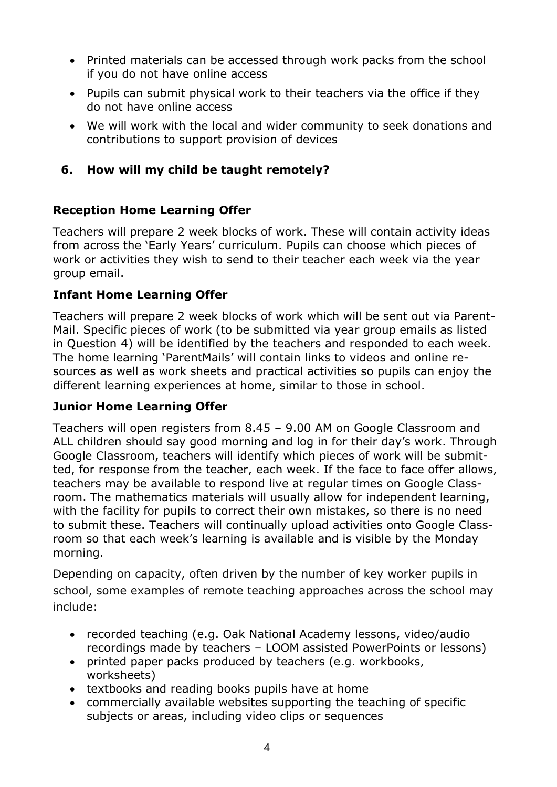- Printed materials can be accessed through work packs from the school if you do not have online access
- Pupils can submit physical work to their teachers via the office if they do not have online access
- We will work with the local and wider community to seek donations and contributions to support provision of devices

# 6. How will my child be taught remotely?

# Reception Home Learning Offer

Teachers will prepare 2 week blocks of work. These will contain activity ideas from across the 'Early Years' curriculum. Pupils can choose which pieces of work or activities they wish to send to their teacher each week via the year group email.

## Infant Home Learning Offer

Teachers will prepare 2 week blocks of work which will be sent out via Parent-Mail. Specific pieces of work (to be submitted via year group emails as listed in Question 4) will be identified by the teachers and responded to each week. The home learning 'ParentMails' will contain links to videos and online resources as well as work sheets and practical activities so pupils can enjoy the different learning experiences at home, similar to those in school.

## Junior Home Learning Offer

Teachers will open registers from 8.45 – 9.00 AM on Google Classroom and ALL children should say good morning and log in for their day's work. Through Google Classroom, teachers will identify which pieces of work will be submitted, for response from the teacher, each week. If the face to face offer allows, teachers may be available to respond live at regular times on Google Classroom. The mathematics materials will usually allow for independent learning, with the facility for pupils to correct their own mistakes, so there is no need to submit these. Teachers will continually upload activities onto Google Classroom so that each week's learning is available and is visible by the Monday morning.

Depending on capacity, often driven by the number of key worker pupils in school, some examples of remote teaching approaches across the school may include:

- recorded teaching (e.g. Oak National Academy lessons, video/audio recordings made by teachers – LOOM assisted PowerPoints or lessons)
- printed paper packs produced by teachers (e.g. workbooks, worksheets)
- textbooks and reading books pupils have at home
- commercially available websites supporting the teaching of specific subjects or areas, including video clips or sequences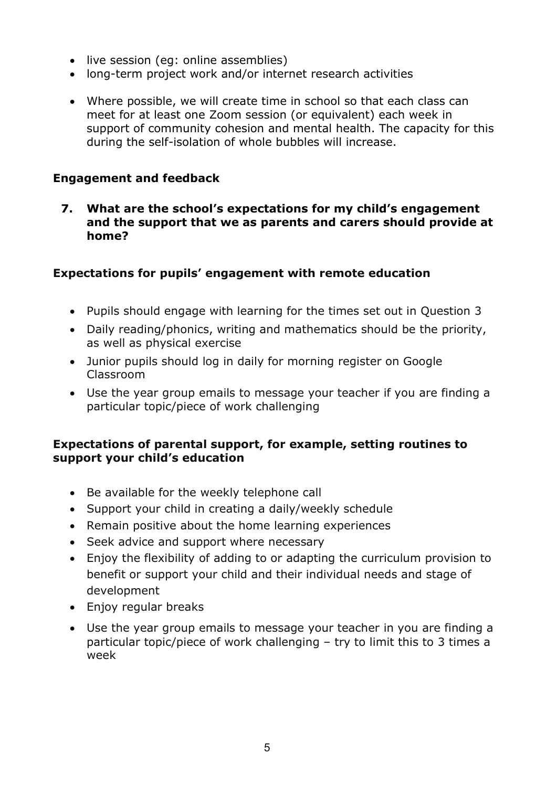- live session (eq: online assemblies)
- long-term project work and/or internet research activities
- Where possible, we will create time in school so that each class can meet for at least one Zoom session (or equivalent) each week in support of community cohesion and mental health. The capacity for this during the self-isolation of whole bubbles will increase.

#### Engagement and feedback

7. What are the school's expectations for my child's engagement and the support that we as parents and carers should provide at home?

#### Expectations for pupils' engagement with remote education

- Pupils should engage with learning for the times set out in Question 3
- Daily reading/phonics, writing and mathematics should be the priority, as well as physical exercise
- Junior pupils should log in daily for morning register on Google Classroom
- Use the year group emails to message your teacher if you are finding a particular topic/piece of work challenging

#### Expectations of parental support, for example, setting routines to support your child's education

- Be available for the weekly telephone call
- Support your child in creating a daily/weekly schedule
- Remain positive about the home learning experiences
- Seek advice and support where necessary
- Enjoy the flexibility of adding to or adapting the curriculum provision to benefit or support your child and their individual needs and stage of development
- Enjoy regular breaks
- Use the year group emails to message your teacher in you are finding a particular topic/piece of work challenging – try to limit this to 3 times a week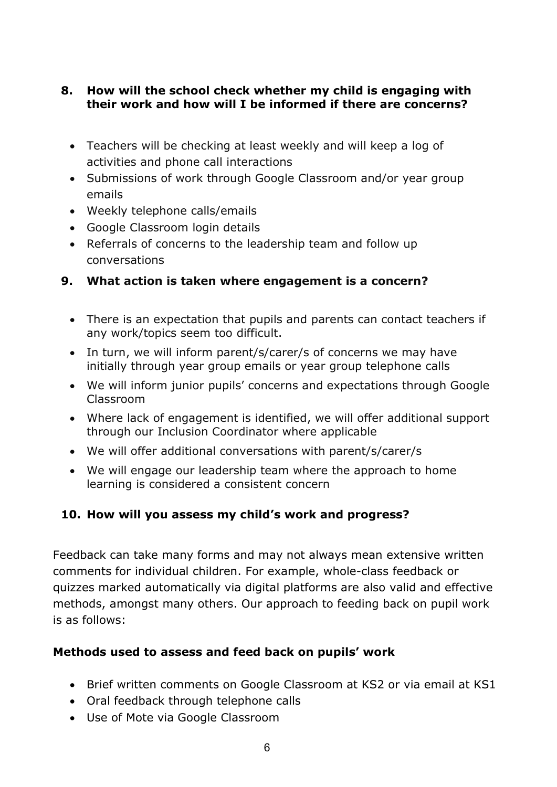#### 8. How will the school check whether my child is engaging with their work and how will I be informed if there are concerns?

- Teachers will be checking at least weekly and will keep a log of activities and phone call interactions
- Submissions of work through Google Classroom and/or year group emails
- Weekly telephone calls/emails
- Google Classroom login details
- Referrals of concerns to the leadership team and follow up conversations

## 9. What action is taken where engagement is a concern?

- There is an expectation that pupils and parents can contact teachers if any work/topics seem too difficult.
- In turn, we will inform parent/s/carer/s of concerns we may have initially through year group emails or year group telephone calls
- We will inform junior pupils' concerns and expectations through Google Classroom
- Where lack of engagement is identified, we will offer additional support through our Inclusion Coordinator where applicable
- We will offer additional conversations with parent/s/carer/s
- We will engage our leadership team where the approach to home learning is considered a consistent concern

## 10. How will you assess my child's work and progress?

Feedback can take many forms and may not always mean extensive written comments for individual children. For example, whole-class feedback or quizzes marked automatically via digital platforms are also valid and effective methods, amongst many others. Our approach to feeding back on pupil work is as follows:

## Methods used to assess and feed back on pupils' work

- Brief written comments on Google Classroom at KS2 or via email at KS1
- Oral feedback through telephone calls
- Use of Mote via Google Classroom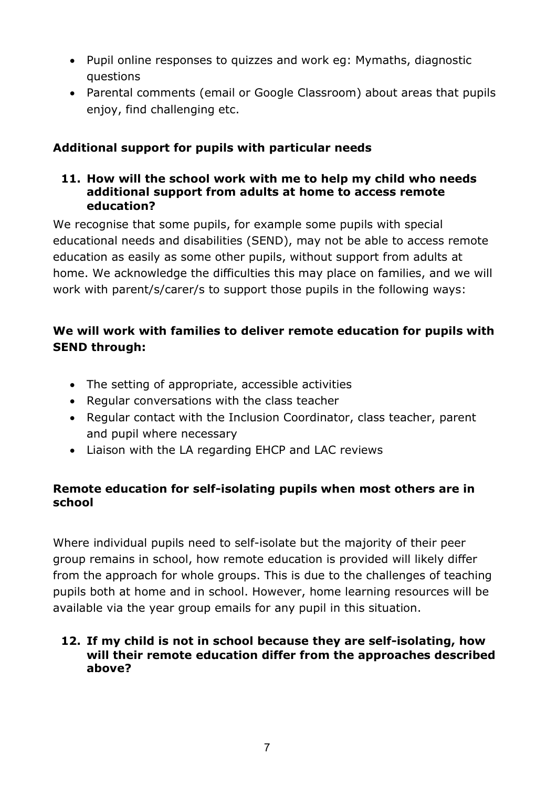- Pupil online responses to quizzes and work eg: Mymaths, diagnostic questions
- Parental comments (email or Google Classroom) about areas that pupils enjoy, find challenging etc.

### Additional support for pupils with particular needs

#### 11. How will the school work with me to help my child who needs additional support from adults at home to access remote education?

We recognise that some pupils, for example some pupils with special educational needs and disabilities (SEND), may not be able to access remote education as easily as some other pupils, without support from adults at home. We acknowledge the difficulties this may place on families, and we will work with parent/s/carer/s to support those pupils in the following ways:

## We will work with families to deliver remote education for pupils with SEND through:

- The setting of appropriate, accessible activities
- Regular conversations with the class teacher
- Regular contact with the Inclusion Coordinator, class teacher, parent and pupil where necessary
- Liaison with the LA regarding EHCP and LAC reviews

#### Remote education for self-isolating pupils when most others are in school

Where individual pupils need to self-isolate but the majority of their peer group remains in school, how remote education is provided will likely differ from the approach for whole groups. This is due to the challenges of teaching pupils both at home and in school. However, home learning resources will be available via the year group emails for any pupil in this situation.

#### 12. If my child is not in school because they are self-isolating, how will their remote education differ from the approaches described above?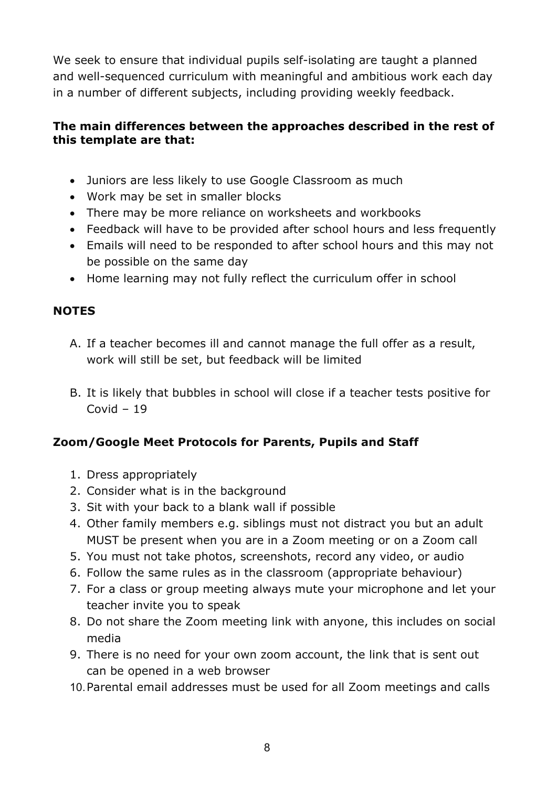We seek to ensure that individual pupils self-isolating are taught a planned and well-sequenced curriculum with meaningful and ambitious work each day in a number of different subjects, including providing weekly feedback.

#### The main differences between the approaches described in the rest of this template are that:

- Juniors are less likely to use Google Classroom as much
- Work may be set in smaller blocks
- There may be more reliance on worksheets and workbooks
- Feedback will have to be provided after school hours and less frequently
- Emails will need to be responded to after school hours and this may not be possible on the same day
- Home learning may not fully reflect the curriculum offer in school

#### **NOTES**

- A. If a teacher becomes ill and cannot manage the full offer as a result, work will still be set, but feedback will be limited
- B. It is likely that bubbles in school will close if a teacher tests positive for Covid – 19

## Zoom/Google Meet Protocols for Parents, Pupils and Staff

- 1. Dress appropriately
- 2. Consider what is in the background
- 3. Sit with your back to a blank wall if possible
- 4. Other family members e.g. siblings must not distract you but an adult MUST be present when you are in a Zoom meeting or on a Zoom call
- 5. You must not take photos, screenshots, record any video, or audio
- 6. Follow the same rules as in the classroom (appropriate behaviour)
- 7. For a class or group meeting always mute your microphone and let your teacher invite you to speak
- 8. Do not share the Zoom meeting link with anyone, this includes on social media
- 9. There is no need for your own zoom account, the link that is sent out can be opened in a web browser
- 10. Parental email addresses must be used for all Zoom meetings and calls